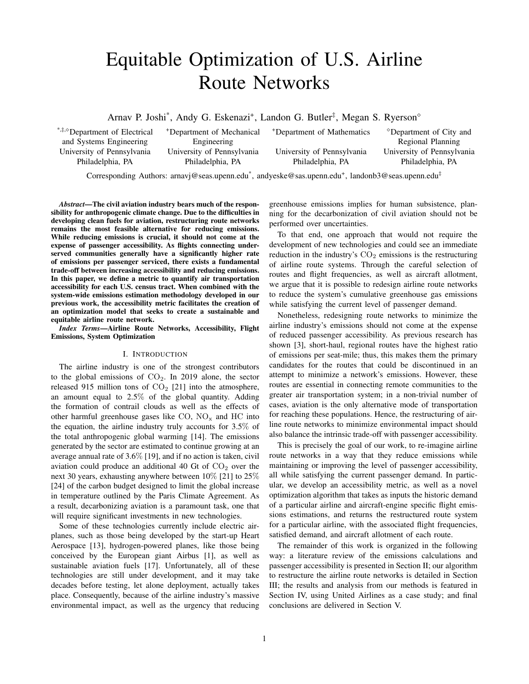# Equitable Optimization of U.S. Airline Route Networks

Arnav P. Joshi<sup>\*</sup>, Andy G. Eskenazi<sup>+</sup>, Landon G. Butler<sup>‡</sup>, Megan S. Ryerson<sup>®</sup>

\*,‡,<sup>⋄</sup>Department of Electrical and Systems Engineering

+Department of Mechanical Engineering

Philadelphia, PA Philadelphia, PA Philadelphia, PA Philadelphia, PA

+Department of Mathematics <sup>⋄</sup>Department of City and Regional Planning University of Pennsylvania University of Pennsylvania University of Pennsylvania University of Pennsylvania

Corresponding Authors: arnavj@seas.upenn.edu\*, andyeske@sas.upenn.edu+, landonb3@seas.upenn.edu‡

Abstract—The civil aviation industry bears much of the responsibility for anthropogenic climate change. Due to the difficulties in developing clean fuels for aviation, restructuring route networks remains the most feasible alternative for reducing emissions. While reducing emissions is crucial, it should not come at the expense of passenger accessibility. As flights connecting underserved communities generally have a significantly higher rate of emissions per passenger serviced, there exists a fundamental trade-off between increasing accessibility and reducing emissions. In this paper, we define a metric to quantify air transportation accessibility for each U.S. census tract. When combined with the system-wide emissions estimation methodology developed in our previous work, the accessibility metric facilitates the creation of an optimization model that seeks to create a sustainable and equitable airline route network.

Index Terms—Airline Route Networks, Accessibility, Flight Emissions, System Optimization

# I. INTRODUCTION

The airline industry is one of the strongest contributors to the global emissions of  $CO<sub>2</sub>$ . In 2019 alone, the sector released 915 million tons of  $CO<sub>2</sub>$  [21] into the atmosphere, an amount equal to 2.5% of the global quantity. Adding the formation of contrail clouds as well as the effects of other harmful greenhouse gases like  $CO$ ,  $NO_x$  and  $HC$  into the equation, the airline industry truly accounts for 3.5% of the total anthropogenic global warming [14]. The emissions generated by the sector are estimated to continue growing at an average annual rate of 3.6% [19], and if no action is taken, civil aviation could produce an additional 40 Gt of  $CO<sub>2</sub>$  over the next 30 years, exhausting anywhere between  $10\%$  [21] to  $25\%$ [24] of the carbon budget designed to limit the global increase in temperature outlined by the Paris Climate Agreement. As a result, decarbonizing aviation is a paramount task, one that will require significant investments in new technologies.

Some of these technologies currently include electric airplanes, such as those being developed by the start-up Heart Aerospace [13], hydrogen-powered planes, like those being conceived by the European giant Airbus [1], as well as sustainable aviation fuels [17]. Unfortunately, all of these technologies are still under development, and it may take decades before testing, let alone deployment, actually takes place. Consequently, because of the airline industry's massive environmental impact, as well as the urgency that reducing

greenhouse emissions implies for human subsistence, planning for the decarbonization of civil aviation should not be performed over uncertainties.

To that end, one approach that would not require the development of new technologies and could see an immediate reduction in the industry's  $CO<sub>2</sub>$  emissions is the restructuring of airline route systems. Through the careful selection of routes and flight frequencies, as well as aircraft allotment, we argue that it is possible to redesign airline route networks to reduce the system's cumulative greenhouse gas emissions while satisfying the current level of passenger demand.

Nonetheless, redesigning route networks to minimize the airline industry's emissions should not come at the expense of reduced passenger accessibility. As previous research has shown [3], short-haul, regional routes have the highest ratio of emissions per seat-mile; thus, this makes them the primary candidates for the routes that could be discontinued in an attempt to minimize a network's emissions. However, these routes are essential in connecting remote communities to the greater air transportation system; in a non-trivial number of cases, aviation is the only alternative mode of transportation for reaching these populations. Hence, the restructuring of airline route networks to minimize environmental impact should also balance the intrinsic trade-off with passenger accessibility.

This is precisely the goal of our work, to re-imagine airline route networks in a way that they reduce emissions while maintaining or improving the level of passenger accessibility, all while satisfying the current passenger demand. In particular, we develop an accessibility metric, as well as a novel optimization algorithm that takes as inputs the historic demand of a particular airline and aircraft-engine specific flight emissions estimations, and returns the restructured route system for a particular airline, with the associated flight frequencies, satisfied demand, and aircraft allotment of each route.

The remainder of this work is organized in the following way: a literature review of the emissions calculations and passenger accessibility is presented in Section II; our algorithm to restructure the airline route networks is detailed in Section III; the results and analysis from our methods is featured in Section IV, using United Airlines as a case study; and final conclusions are delivered in Section V.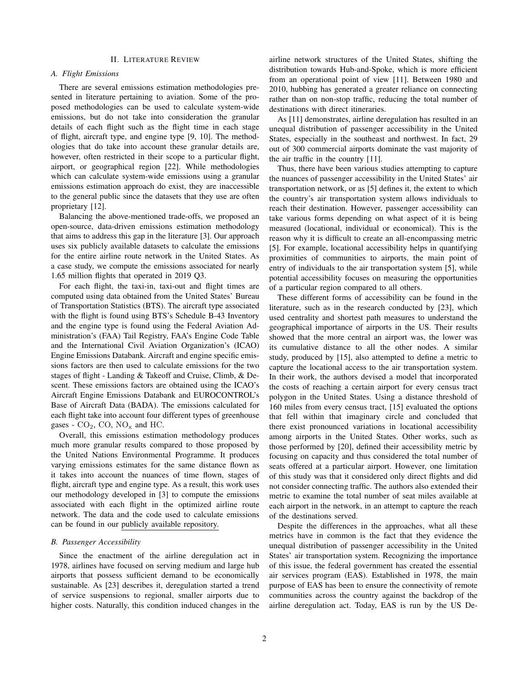# II. LITERATURE REVIEW

#### A. Flight Emissions

There are several emissions estimation methodologies presented in literature pertaining to aviation. Some of the proposed methodologies can be used to calculate system-wide emissions, but do not take into consideration the granular details of each flight such as the flight time in each stage of flight, aircraft type, and engine type [9, 10]. The methodologies that do take into account these granular details are, however, often restricted in their scope to a particular flight, airport, or geographical region [22]. While methodologies which can calculate system-wide emissions using a granular emissions estimation approach do exist, they are inaccessible to the general public since the datasets that they use are often proprietary [12].

Balancing the above-mentioned trade-offs, we proposed an open-source, data-driven emissions estimation methodology that aims to address this gap in the literature [3]. Our approach uses six publicly available datasets to calculate the emissions for the entire airline route network in the United States. As a case study, we compute the emissions associated for nearly 1.65 million flights that operated in 2019 Q3.

For each flight, the taxi-in, taxi-out and flight times are computed using data obtained from the United States' Bureau of Transportation Statistics (BTS). The aircraft type associated with the flight is found using BTS's Schedule B-43 Inventory and the engine type is found using the Federal Aviation Administration's (FAA) Tail Registry, FAA's Engine Code Table and the International Civil Aviation Organization's (ICAO) Engine Emissions Databank. Aircraft and engine specific emissions factors are then used to calculate emissions for the two stages of flight - Landing & Takeoff and Cruise, Climb, & Descent. These emissions factors are obtained using the ICAO's Aircraft Engine Emissions Databank and EUROCONTROL's Base of Aircraft Data (BADA). The emissions calculated for each flight take into account four different types of greenhouse gases -  $CO_2$ ,  $CO$ ,  $NO_x$  and HC.

Overall, this emissions estimation methodology produces much more granular results compared to those proposed by the United Nations Environmental Programme. It produces varying emissions estimates for the same distance flown as it takes into account the nuances of time flown, stages of flight, aircraft type and engine type. As a result, this work uses our methodology developed in [3] to compute the emissions associated with each flight in the optimized airline route network. The data and the code used to calculate emissions can be found in our publicly available repository.

#### B. Passenger Accessibility

Since the enactment of the airline deregulation act in 1978, airlines have focused on serving medium and large hub airports that possess sufficient demand to be economically sustainable. As [23] describes it, deregulation started a trend of service suspensions to regional, smaller airports due to higher costs. Naturally, this condition induced changes in the airline network structures of the United States, shifting the distribution towards Hub-and-Spoke, which is more efficient from an operational point of view [11]. Between 1980 and 2010, hubbing has generated a greater reliance on connecting rather than on non-stop traffic, reducing the total number of destinations with direct itineraries.

As [11] demonstrates, airline deregulation has resulted in an unequal distribution of passenger accessibility in the United States, especially in the southeast and northwest. In fact, 29 out of 300 commercial airports dominate the vast majority of the air traffic in the country [11].

Thus, there have been various studies attempting to capture the nuances of passenger accessibility in the United States' air transportation network, or as [5] defines it, the extent to which the country's air transportation system allows individuals to reach their destination. However, passenger accessibility can take various forms depending on what aspect of it is being measured (locational, individual or economical). This is the reason why it is difficult to create an all-encompassing metric [5]. For example, locational accessibility helps in quantifying proximities of communities to airports, the main point of entry of individuals to the air transportation system [5], while potential accessibility focuses on measuring the opportunities of a particular region compared to all others.

These different forms of accessibility can be found in the literature, such as in the research conducted by [23], which used centrality and shortest path measures to understand the geographical importance of airports in the US. Their results showed that the more central an airport was, the lower was its cumulative distance to all the other nodes. A similar study, produced by [15], also attempted to define a metric to capture the locational access to the air transportation system. In their work, the authors devised a model that incorporated the costs of reaching a certain airport for every census tract polygon in the United States. Using a distance threshold of 160 miles from every census tract, [15] evaluated the options that fell within that imaginary circle and concluded that there exist pronounced variations in locational accessibility among airports in the United States. Other works, such as those performed by [20], defined their accessibility metric by focusing on capacity and thus considered the total number of seats offered at a particular airport. However, one limitation of this study was that it considered only direct flights and did not consider connecting traffic. The authors also extended their metric to examine the total number of seat miles available at each airport in the network, in an attempt to capture the reach of the destinations served.

Despite the differences in the approaches, what all these metrics have in common is the fact that they evidence the unequal distribution of passenger accessibility in the United States' air transportation system. Recognizing the importance of this issue, the federal government has created the essential air services program (EAS). Established in 1978, the main purpose of EAS has been to ensure the connectivity of remote communities across the country against the backdrop of the airline deregulation act. Today, EAS is run by the US De-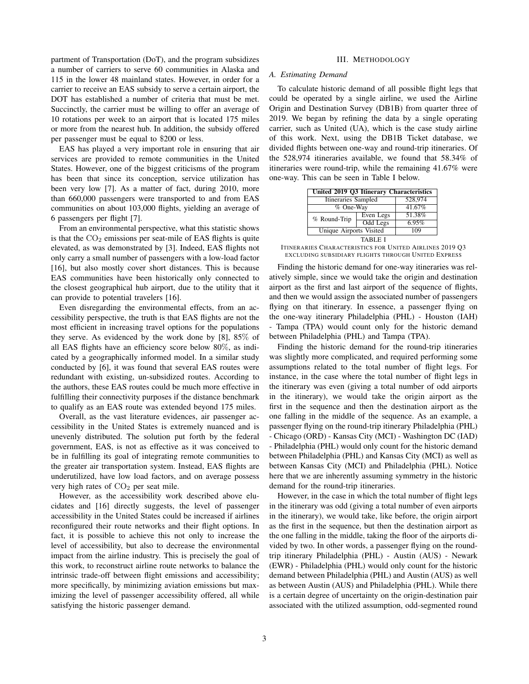partment of Transportation (DoT), and the program subsidizes a number of carriers to serve 60 communities in Alaska and 115 in the lower 48 mainland states. However, in order for a carrier to receive an EAS subsidy to serve a certain airport, the DOT has established a number of criteria that must be met. Succinctly, the carrier must be willing to offer an average of 10 rotations per week to an airport that is located 175 miles or more from the nearest hub. In addition, the subsidy offered per passenger must be equal to \$200 or less.

EAS has played a very important role in ensuring that air services are provided to remote communities in the United States. However, one of the biggest criticisms of the program has been that since its conception, service utilization has been very low [7]. As a matter of fact, during 2010, more than 660,000 passengers were transported to and from EAS communities on about 103,000 flights, yielding an average of 6 passengers per flight [7].

From an environmental perspective, what this statistic shows is that the  $CO<sub>2</sub>$  emissions per seat-mile of EAS flights is quite elevated, as was demonstrated by [3]. Indeed, EAS flights not only carry a small number of passengers with a low-load factor [16], but also mostly cover short distances. This is because EAS communities have been historically only connected to the closest geographical hub airport, due to the utility that it can provide to potential travelers [16].

Even disregarding the environmental effects, from an accessibility perspective, the truth is that EAS flights are not the most efficient in increasing travel options for the populations they serve. As evidenced by the work done by  $[8]$ ,  $85\%$  of all EAS flights have an efficiency score below 80%, as indicated by a geographically informed model. In a similar study conducted by [6], it was found that several EAS routes were redundant with existing, un-subsidized routes. According to the authors, these EAS routes could be much more effective in fulfilling their connectivity purposes if the distance benchmark to qualify as an EAS route was extended beyond 175 miles.

Overall, as the vast literature evidences, air passenger accessibility in the United States is extremely nuanced and is unevenly distributed. The solution put forth by the federal government, EAS, is not as effective as it was conceived to be in fulfilling its goal of integrating remote communities to the greater air transportation system. Instead, EAS flights are underutilized, have low load factors, and on average possess very high rates of  $CO<sub>2</sub>$  per seat mile.

However, as the accessibility work described above elucidates and [16] directly suggests, the level of passenger accessibility in the United States could be increased if airlines reconfigured their route networks and their flight options. In fact, it is possible to achieve this not only to increase the level of accessibility, but also to decrease the environmental impact from the airline industry. This is precisely the goal of this work, to reconstruct airline route networks to balance the intrinsic trade-off between flight emissions and accessibility; more specifically, by minimizing aviation emissions but maximizing the level of passenger accessibility offered, all while satisfying the historic passenger demand.

# III. METHODOLOGY

#### A. Estimating Demand

To calculate historic demand of all possible flight legs that could be operated by a single airline, we used the Airline Origin and Destination Survey (DB1B) from quarter three of 2019. We began by refining the data by a single operating carrier, such as United (UA), which is the case study airline of this work. Next, using the DB1B Ticket database, we divided flights between one-way and round-trip itineraries. Of the 528,974 itineraries available, we found that 58.34% of itineraries were round-trip, while the remaining 41.67% were one-way. This can be seen in Table I below.

| United 2019 Q3 Itinerary Characteristics |           |         |  |  |  |
|------------------------------------------|-----------|---------|--|--|--|
| <b>Itineraries Sampled</b>               |           | 528,974 |  |  |  |
| % One-Way                                |           | 41.67%  |  |  |  |
| % Round-Trip                             | Even Legs | 51.38%  |  |  |  |
|                                          | Odd Legs  | 6.95%   |  |  |  |
| Unique Airports Visited                  |           | 109     |  |  |  |
| TABLE I                                  |           |         |  |  |  |

ITINERARIES CHARACTERISTICS FOR UNITED AIRLINES 2019 Q3 EXCLUDING SUBSIDIARY FLIGHTS THROUGH UNITED EXPRESS

Finding the historic demand for one-way itineraries was relatively simple, since we would take the origin and destination airport as the first and last airport of the sequence of flights, and then we would assign the associated number of passengers flying on that itinerary. In essence, a passenger flying on the one-way itinerary Philadelphia (PHL) - Houston (IAH) - Tampa (TPA) would count only for the historic demand between Philadelphia (PHL) and Tampa (TPA).

Finding the historic demand for the round-trip itineraries was slightly more complicated, and required performing some assumptions related to the total number of flight legs. For instance, in the case where the total number of flight legs in the itinerary was even (giving a total number of odd airports in the itinerary), we would take the origin airport as the first in the sequence and then the destination airport as the one falling in the middle of the sequence. As an example, a passenger flying on the round-trip itinerary Philadelphia (PHL) - Chicago (ORD) - Kansas City (MCI) - Washington DC (IAD) - Philadelphia (PHL) would only count for the historic demand between Philadelphia (PHL) and Kansas City (MCI) as well as between Kansas City (MCI) and Philadelphia (PHL). Notice here that we are inherently assuming symmetry in the historic demand for the round-trip itineraries.

However, in the case in which the total number of flight legs in the itinerary was odd (giving a total number of even airports in the itinerary), we would take, like before, the origin airport as the first in the sequence, but then the destination airport as the one falling in the middle, taking the floor of the airports divided by two. In other words, a passenger flying on the roundtrip itinerary Philadelphia (PHL) - Austin (AUS) - Newark (EWR) - Philadelphia (PHL) would only count for the historic demand between Philadelphia (PHL) and Austin (AUS) as well as between Austin (AUS) and Philadelphia (PHL). While there is a certain degree of uncertainty on the origin-destination pair associated with the utilized assumption, odd-segmented round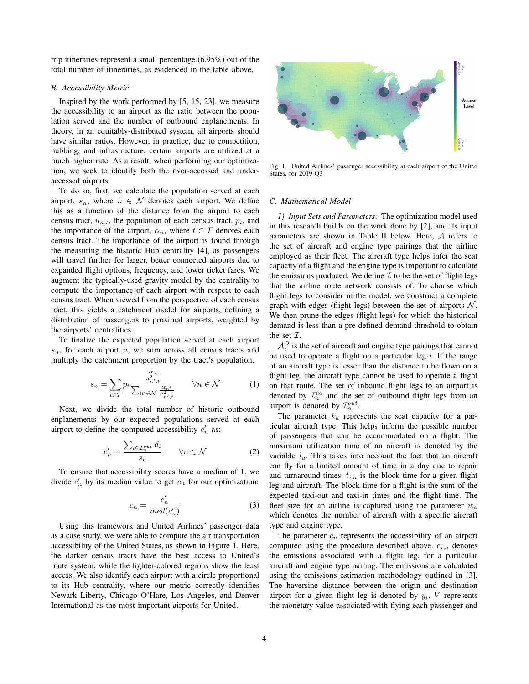trip itineraries represent a small percentage (6.95%) out of the total number of itineraries, as evidenced in the table above.

# B. Accessibility Metric

Inspired by the work performed by [5, 15, 23], we measure the accessibility to an airport as the ratio between the population served and the number of outbound enplanements. In theory, in an equitably-distributed system, all airports should have similar ratios. However, in practice, due to competition, hubbing, and infrastructure, certain airports are utilized at a much higher rate. As a result, when performing our optimization, we seek to identify both the over-accessed and underaccessed airports.

To do so, first, we calculate the population served at each airport,  $s_n$ , where  $n \in \mathcal{N}$  denotes each airport. We define this as a function of the distance from the airport to each census tract,  $u_{n,t}$ , the population of each census tract,  $p_t$ , and the importance of the airport,  $\alpha_n$ , where  $t \in \mathcal{T}$  denotes each census tract. The importance of the airport is found through the measuring the historic Hub centrality [4], as passengers will travel further for larger, better connected airports due to expanded flight options, frequency, and lower ticket fares. We augment the typically-used gravity model by the centrality to compute the importance of each airport with respect to each census tract. When viewed from the perspective of each census tract, this yields a catchment model for airports, defining a distribution of passengers to proximal airports, weighted by the airports' centralities.

To finalize the expected population served at each airport  $s_n$ , for each airport n, we sum across all census tracts and multiply the catchment proportion by the tract's population.

$$
s_n = \sum_{t \in T} p_t \frac{\frac{\alpha_n}{u_{n',t}^2}}{\sum_{n' \in \mathcal{N}} \frac{\alpha_{n'}}{u_{n',t}^2}} \qquad \forall n \in \mathcal{N}
$$
 (1)

Next, we divide the total number of historic outbound enplanements by our expected populations served at each airport to define the computed accessibility  $c'_n$  as:

$$
c'_{n} = \frac{\sum_{i \in \mathcal{I}_{n}^{out}} d_{i}}{s_{n}} \qquad \forall n \in \mathcal{N}
$$
 (2)

To ensure that accessibility scores have a median of 1, we divide  $c'_n$  by its median value to get  $c_n$  for our optimization:

$$
c_n = \frac{c'_n}{med(c'_n)}\tag{3}
$$

Using this framework and United Airlines' passenger data as a case study, we were able to compute the air transportation accessibility of the United States, as shown in Figure 1. Here, the darker census tracts have the best access to United's route system, while the lighter-colored regions show the least access. We also identify each airport with a circle proportional to its Hub centrality, where our metric correctly identifies Newark Liberty, Chicago O'Hare, Los Angeles, and Denver International as the most important airports for United.



Fig. 1. United Airlines' passenger accessibility at each airport of the United States, for 2019 Q3

#### C. Mathematical Model

1) Input Sets and Parameters: The optimization model used in this research builds on the work done by [2], and its input parameters are shown in Table II below. Here, A refers to the set of aircraft and engine type pairings that the airline employed as their fleet. The aircraft type helps infer the seat capacity of a flight and the engine type is important to calculate the emissions produced. We define  $\mathcal I$  to be the set of flight legs that the airline route network consists of. To choose which flight legs to consider in the model, we construct a complete graph with edges (flight legs) between the set of airports  $N$ . We then prune the edges (flight legs) for which the historical demand is less than a pre-defined demand threshold to obtain the set  $\mathcal{I}$ .

 $A_i^O$  is the set of aircraft and engine type pairings that cannot be used to operate a flight on a particular leg  $i$ . If the range of an aircraft type is lesser than the distance to be flown on a flight leg, the aircraft type cannot be used to operate a flight on that route. The set of inbound flight legs to an airport is denoted by  $\mathcal{I}_n^{in}$  and the set of outbound flight legs from an airport is denoted by  $\mathcal{I}_n^{out}$ .

The parameter  $k_a$  represents the seat capacity for a particular aircraft type. This helps inform the possible number of passengers that can be accommodated on a flight. The maximum utilization time of an aircraft is denoted by the variable  $l_a$ . This takes into account the fact that an aircraft can fly for a limited amount of time in a day due to repair and turnaround times.  $t_{i,a}$  is the block time for a given flight leg and aircraft. The block time for a flight is the sum of the expected taxi-out and taxi-in times and the flight time. The fleet size for an airline is captured using the parameter  $w_a$ which denotes the number of aircraft with a specific aircraft type and engine type.

The parameter  $c_n$  represents the accessibility of an airport computed using the procedure described above.  $e_{i,a}$  denotes the emissions associated with a flight leg, for a particular aircraft and engine type pairing. The emissions are calculated using the emissions estimation methodology outlined in [3]. The haversine distance between the origin and destination airport for a given flight leg is denoted by  $y_i$ . V represents the monetary value associated with flying each passenger and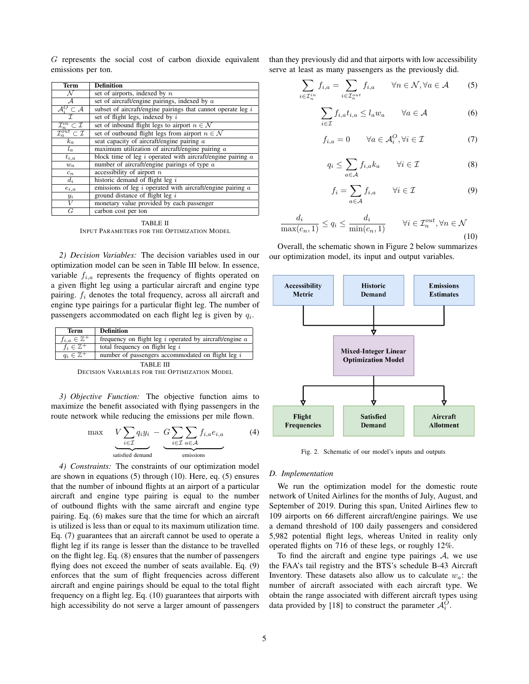G represents the social cost of carbon dioxide equivalent emissions per ton.

| Term                                                 | <b>Definition</b>                                               |  |  |  |  |
|------------------------------------------------------|-----------------------------------------------------------------|--|--|--|--|
| N                                                    | set of airports, indexed by $n$                                 |  |  |  |  |
| $\mathcal A$                                         | set of aircraft/engine pairings, indexed by $a$                 |  |  |  |  |
| $\mathcal{A}_{i}^O \subset \mathcal{A}$              | subset of aircraft/engine pairings that cannot operate leg $i$  |  |  |  |  |
| $\overline{\tau}$                                    | set of flight legs, indexed by $i$                              |  |  |  |  |
| $\underline{\mathcal{I}_n^{in}\subset\mathcal{I}}$   | set of inbound flight legs to airport $n \in \mathcal{N}$       |  |  |  |  |
| $\overline{\mathcal{I}_n^{out}} \subset \mathcal{I}$ | set of outbound flight legs from airport $n \in \mathcal{N}$    |  |  |  |  |
| $k_a$                                                | seat capacity of aircraft/engine pairing $a$                    |  |  |  |  |
| $l_a$                                                | maximum utilization of aircraft/engine pairing $a$              |  |  |  |  |
| $t_{i,a}$                                            | block time of leg $i$ operated with aircraft/engine pairing $a$ |  |  |  |  |
| $w_a$                                                | number of aircraft/engine pairings of type $a$                  |  |  |  |  |
| $c_n$                                                | accessibility of airport $n$                                    |  |  |  |  |
| $d_i$                                                | historic demand of flight leg $i$                               |  |  |  |  |
| $e_{i,a}$                                            | emissions of leg $i$ operated with aircraft/engine pairing $a$  |  |  |  |  |
| $y_i$                                                | ground distance of flight leg $i$                               |  |  |  |  |
| V                                                    | monetary value provided by each passenger                       |  |  |  |  |
| G                                                    | carbon cost per ton                                             |  |  |  |  |

TABLE II INPUT PARAMETERS FOR THE OPTIMIZATION MODEL

2) Decision Variables: The decision variables used in our optimization model can be seen in Table III below. In essence, variable  $f_{i,a}$  represents the frequency of flights operated on a given flight leg using a particular aircraft and engine type pairing.  $f_i$  denotes the total frequency, across all aircraft and engine type pairings for a particular flight leg. The number of passengers accommodated on each flight leg is given by  $q_i$ .

| Term                       | <b>Definition</b>                                           |
|----------------------------|-------------------------------------------------------------|
| $f_{i,a} \in \mathbb{Z}^+$ | frequency on flight leg $i$ operated by aircraft/engine $a$ |
| $f_i \in \mathbb{Z}^+$     | total frequency on flight $leg\ i$                          |
| $q_i \in \mathbb{Z}^+$     | number of passengers accommodated on flight leg i           |

TABLE III DECISION VARIABLES FOR THE OPTIMIZATION MODEL

3) Objective Function: The objective function aims to maximize the benefit associated with flying passengers in the route network while reducing the emissions per mile flown.

$$
\max \qquad V \sum_{i \in \mathcal{I}} q_i y_i \ - \ G \sum_{i \in \mathcal{I}} \sum_{a \in \mathcal{A}} f_{i,a} e_{i,a} \tag{4}
$$
\n
$$
\underbrace{\qquad \qquad}_{\text{satisfied demand}} \qquad \qquad \underbrace{\qquad \qquad}_{\text{emissions}} \qquad \qquad (4)
$$

4) Constraints: The constraints of our optimization model are shown in equations (5) through (10). Here, eq. (5) ensures that the number of inbound flights at an airport of a particular aircraft and engine type pairing is equal to the number of outbound flights with the same aircraft and engine type pairing. Eq. (6) makes sure that the time for which an aircraft is utilized is less than or equal to its maximum utilization time. Eq. (7) guarantees that an aircraft cannot be used to operate a flight leg if its range is lesser than the distance to be travelled on the flight leg. Eq. (8) ensures that the number of passengers flying does not exceed the number of seats available. Eq. (9) enforces that the sum of flight frequencies across different aircraft and engine pairings should be equal to the total flight frequency on a flight leg. Eq. (10) guarantees that airports with high accessibility do not serve a larger amount of passengers

than they previously did and that airports with low accessibility serve at least as many passengers as the previously did.

$$
\sum_{i \in \mathcal{I}_n^{in}} f_{i,a} = \sum_{i \in \mathcal{I}_n^{out}} f_{i,a} \qquad \forall n \in \mathcal{N}, \forall a \in \mathcal{A} \tag{5}
$$

$$
\sum_{i \in \mathcal{I}} f_{i,a} t_{i,a} \le l_a w_a \qquad \forall a \in \mathcal{A} \tag{6}
$$

$$
f_{i,a} = 0 \qquad \forall a \in \mathcal{A}_i^O, \forall i \in \mathcal{I}
$$
 (7)

$$
q_i \le \sum_{a \in \mathcal{A}} f_{i,a} k_a \qquad \forall i \in \mathcal{I} \tag{8}
$$

$$
f_i = \sum_{a \in \mathcal{A}} f_{i,a} \qquad \forall i \in \mathcal{I}
$$
 (9)

$$
\frac{d_i}{\max(c_n, 1)} \le q_i \le \frac{d_i}{\min(c_n, 1)} \qquad \forall i \in \mathcal{I}_n^{out}, \forall n \in \mathcal{N}
$$
\n(10)

Overall, the schematic shown in Figure 2 below summarizes our optimization model, its input and output variables.



Fig. 2. Schematic of our model's inputs and outputs

### D. Implementation

We run the optimization model for the domestic route network of United Airlines for the months of July, August, and September of 2019. During this span, United Airlines flew to 109 airports on 66 different aircraft/engine pairings. We use a demand threshold of 100 daily passengers and considered 5,982 potential flight legs, whereas United in reality only operated flights on 716 of these legs, or roughly 12%.

To find the aircraft and engine type pairings  $A$ , we use the FAA's tail registry and the BTS's schedule B-43 Aircraft Inventory. These datasets also allow us to calculate  $w_a$ : the number of aircraft associated with each aircraft type. We obtain the range associated with different aircraft types using data provided by [18] to construct the parameter  $\mathcal{A}_{i}^{O}$ .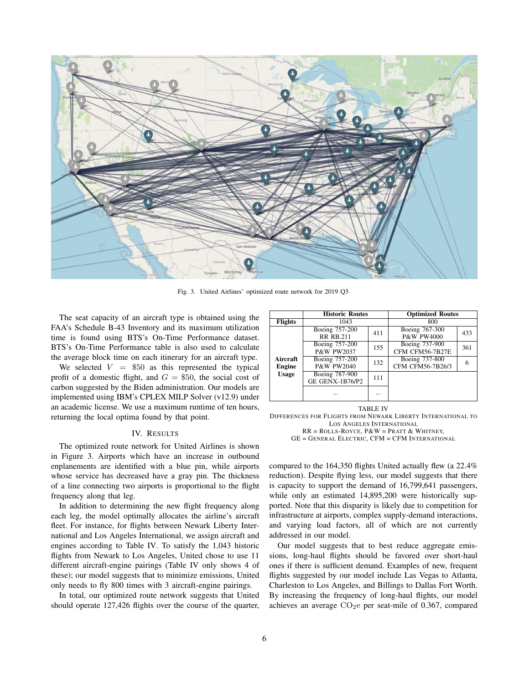

Fig. 3. United Airlines' optimized route network for 2019 Q3

The seat capacity of an aircraft type is obtained using the FAA's Schedule B-43 Inventory and its maximum utilization time is found using BTS's On-Time Performance dataset. BTS's On-Time Performance table is also used to calculate the average block time on each itinerary for an aircraft type.

We selected  $V = $50$  as this represented the typical profit of a domestic flight, and  $G = $50$ , the social cost of carbon suggested by the Biden administration. Our models are implemented using IBM's CPLEX MILP Solver (v12.9) under an academic license. We use a maximum runtime of ten hours, returning the local optima found by that point.

# IV. RESULTS

The optimized route network for United Airlines is shown in Figure 3. Airports which have an increase in outbound enplanements are identified with a blue pin, while airports whose service has decreased have a gray pin. The thickness of a line connecting two airports is proportional to the flight frequency along that leg.

In addition to determining the new flight frequency along each leg, the model optimally allocates the airline's aircraft fleet. For instance, for flights between Newark Liberty International and Los Angeles International, we assign aircraft and engines according to Table IV. To satisfy the 1,043 historic flights from Newark to Los Angeles, United chose to use 11 different aircraft-engine pairings (Table IV only shows 4 of these); our model suggests that to minimize emissions, United only needs to fly 800 times with 3 aircraft-engine pairings.

In total, our optimized route network suggests that United should operate 127,426 flights over the course of the quarter,

|                                    | <b>Historic Routes</b>                   |          | <b>Optimized Routes</b>                 |     |
|------------------------------------|------------------------------------------|----------|-----------------------------------------|-----|
| <b>Flights</b>                     | 1043                                     |          | 800                                     |     |
| Aircraft<br>Engine<br><b>Usage</b> | Boeing 757-200<br><b>RR RB.211</b>       | 411      | Boeing 767-300<br><b>P&amp;W PW4000</b> | 433 |
|                                    | Boeing 757-200<br><b>P&amp;W PW2037</b>  | 155      | Boeing 737-900<br>CFM CFM56-7B27E       | 361 |
|                                    | Boeing 757-200<br><b>P&amp;W PW2040</b>  | 132      | Boeing 737-800<br>CFM CFM56-7B26/3      |     |
|                                    | Boeing 787-900<br><b>GE GENX-1B76/P2</b> | 111      |                                         |     |
|                                    |                                          | $\cdots$ |                                         |     |

TABLE IV

DIFFERENCES FOR FLIGHTS FROM NEWARK LIBERTY INTERNATIONAL TO LOS ANGELES INTERNATIONAL

 $RR = ROLLS-ROYCE, P&W = PRATT &WHITNEY,$ GE = GENERAL ELECTRIC, CFM = CFM INTERNATIONAL

compared to the 164,350 flights United actually flew (a 22.4% reduction). Despite flying less, our model suggests that there is capacity to support the demand of 16,799,641 passengers, while only an estimated 14,895,200 were historically supported. Note that this disparity is likely due to competition for infrastructure at airports, complex supply-demand interactions, and varying load factors, all of which are not currently addressed in our model.

Our model suggests that to best reduce aggregate emissions, long-haul flights should be favored over short-haul ones if there is sufficient demand. Examples of new, frequent flights suggested by our model include Las Vegas to Atlanta, Charleston to Los Angeles, and Billings to Dallas Fort Worth. By increasing the frequency of long-haul flights, our model achieves an average  $CO<sub>2</sub>e$  per seat-mile of 0.367, compared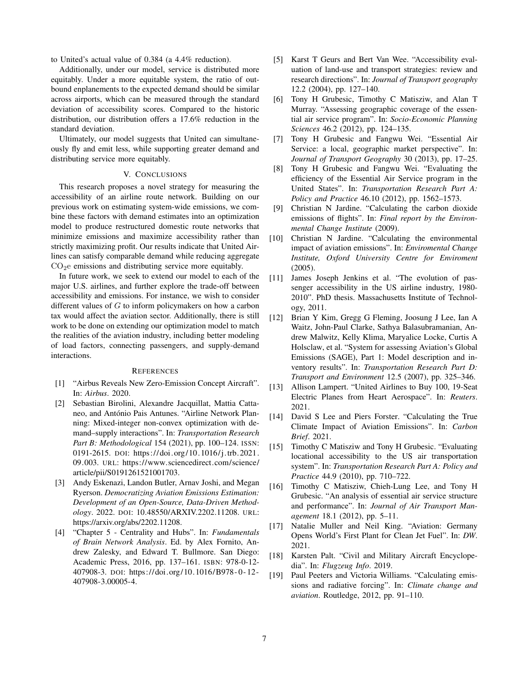to United's actual value of 0.384 (a 4.4% reduction).

Additionally, under our model, service is distributed more equitably. Under a more equitable system, the ratio of outbound enplanements to the expected demand should be similar across airports, which can be measured through the standard deviation of accessibility scores. Compared to the historic distribution, our distribution offers a 17.6% reduction in the standard deviation.

Ultimately, our model suggests that United can simultaneously fly and emit less, while supporting greater demand and distributing service more equitably.

# V. CONCLUSIONS

This research proposes a novel strategy for measuring the accessibility of an airline route network. Building on our previous work on estimating system-wide emissions, we combine these factors with demand estimates into an optimization model to produce restructured domestic route networks that minimize emissions and maximize accessibility rather than strictly maximizing profit. Our results indicate that United Airlines can satisfy comparable demand while reducing aggregate  $CO<sub>2</sub>e$  emissions and distributing service more equitably.

In future work, we seek to extend our model to each of the major U.S. airlines, and further explore the trade-off between accessibility and emissions. For instance, we wish to consider different values of G to inform policymakers on how a carbon tax would affect the aviation sector. Additionally, there is still work to be done on extending our optimization model to match the realities of the aviation industry, including better modeling of load factors, connecting passengers, and supply-demand interactions.

#### **REFERENCES**

- [1] "Airbus Reveals New Zero-Emission Concept Aircraft". In: Airbus. 2020.
- [2] Sebastian Birolini, Alexandre Jacquillat, Mattia Cattaneo, and António Pais Antunes. "Airline Network Planning: Mixed-integer non-convex optimization with demand–supply interactions". In: Transportation Research Part B: Methodological 154 (2021), pp. 100–124. ISSN: 0191-2615. DOI: https:// doi. org/ 10. 1016/j.trb. 2021. 09.003. URL: https://www.sciencedirect.com/science/ article/pii/S0191261521001703.
- [3] Andy Eskenazi, Landon Butler, Arnav Joshi, and Megan Ryerson. Democratizing Aviation Emissions Estimation: Development of an Open-Source, Data-Driven Methodology. 2022. DOI: 10.48550/ARXIV.2202.11208. URL: https://arxiv.org/abs/2202.11208.
- [4] "Chapter 5 Centrality and Hubs". In: Fundamentals of Brain Network Analysis. Ed. by Alex Fornito, Andrew Zalesky, and Edward T. Bullmore. San Diego: Academic Press, 2016, pp. 137–161. ISBN: 978-0-12- 407908-3. DOI: https://doi.org/10.1016/B978 - 0 - 12 - 407908-3.00005-4.
- [5] Karst T Geurs and Bert Van Wee. "Accessibility evaluation of land-use and transport strategies: review and research directions". In: Journal of Transport geography 12.2 (2004), pp. 127–140.
- [6] Tony H Grubesic, Timothy C Matisziw, and Alan T Murray. "Assessing geographic coverage of the essential air service program". In: Socio-Economic Planning Sciences 46.2 (2012), pp. 124–135.
- [7] Tony H Grubesic and Fangwu Wei. "Essential Air Service: a local, geographic market perspective". In: Journal of Transport Geography 30 (2013), pp. 17–25.
- [8] Tony H Grubesic and Fangwu Wei. "Evaluating the efficiency of the Essential Air Service program in the United States". In: Transportation Research Part A: Policy and Practice 46.10 (2012), pp. 1562–1573.
- [9] Christian N Jardine. "Calculating the carbon dioxide emissions of flights". In: Final report by the Environmental Change Institute (2009).
- [10] Christian N Jardine. "Calculating the environmental impact of aviation emissions". In: Enviromental Change Institute, Oxford University Centre for Enviroment (2005).
- [11] James Joseph Jenkins et al. "The evolution of passenger accessibility in the US airline industry, 1980- 2010". PhD thesis. Massachusetts Institute of Technology, 2011.
- [12] Brian Y Kim, Gregg G Fleming, Joosung J Lee, Ian A Waitz, John-Paul Clarke, Sathya Balasubramanian, Andrew Malwitz, Kelly Klima, Maryalice Locke, Curtis A Holsclaw, et al. "System for assessing Aviation's Global Emissions (SAGE), Part 1: Model description and inventory results". In: Transportation Research Part D: Transport and Environment 12.5 (2007), pp. 325–346.
- [13] Allison Lampert. "United Airlines to Buy 100, 19-Seat Electric Planes from Heart Aerospace". In: Reuters. 2021.
- [14] David S Lee and Piers Forster. "Calculating the True Climate Impact of Aviation Emissions". In: Carbon Brief. 2021.
- [15] Timothy C Matisziw and Tony H Grubesic. "Evaluating" locational accessibility to the US air transportation system". In: Transportation Research Part A: Policy and Practice 44.9 (2010), pp. 710–722.
- [16] Timothy C Matisziw, Chieh-Lung Lee, and Tony H Grubesic. "An analysis of essential air service structure and performance". In: Journal of Air Transport Management 18.1 (2012), pp. 5–11.
- [17] Natalie Muller and Neil King. "Aviation: Germany Opens World's First Plant for Clean Jet Fuel". In: DW. 2021.
- [18] Karsten Palt. "Civil and Military Aircraft Encyclopedia". In: Flugzeug Info. 2019.
- [19] Paul Peeters and Victoria Williams. "Calculating emissions and radiative forcing". In: Climate change and aviation. Routledge, 2012, pp. 91–110.